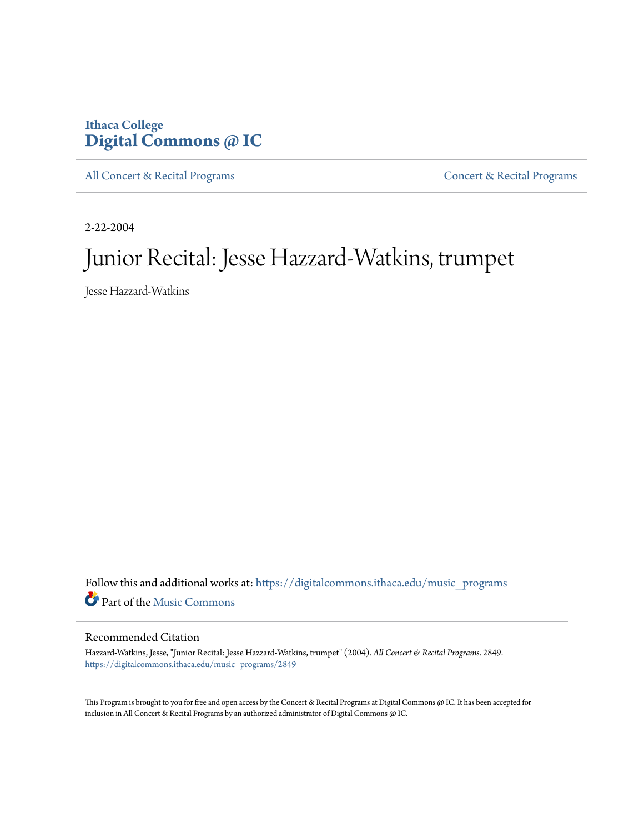# **Ithaca College [Digital Commons @ IC](https://digitalcommons.ithaca.edu?utm_source=digitalcommons.ithaca.edu%2Fmusic_programs%2F2849&utm_medium=PDF&utm_campaign=PDFCoverPages)**

[All Concert & Recital Programs](https://digitalcommons.ithaca.edu/music_programs?utm_source=digitalcommons.ithaca.edu%2Fmusic_programs%2F2849&utm_medium=PDF&utm_campaign=PDFCoverPages) **[Concert & Recital Programs](https://digitalcommons.ithaca.edu/som_programs?utm_source=digitalcommons.ithaca.edu%2Fmusic_programs%2F2849&utm_medium=PDF&utm_campaign=PDFCoverPages)** 

2-22-2004

# Junior Recital: Jesse Hazzard-Watkins, trumpet

Jesse Hazzard-Watkins

Follow this and additional works at: [https://digitalcommons.ithaca.edu/music\\_programs](https://digitalcommons.ithaca.edu/music_programs?utm_source=digitalcommons.ithaca.edu%2Fmusic_programs%2F2849&utm_medium=PDF&utm_campaign=PDFCoverPages) Part of the [Music Commons](http://network.bepress.com/hgg/discipline/518?utm_source=digitalcommons.ithaca.edu%2Fmusic_programs%2F2849&utm_medium=PDF&utm_campaign=PDFCoverPages)

#### Recommended Citation

Hazzard-Watkins, Jesse, "Junior Recital: Jesse Hazzard-Watkins, trumpet" (2004). *All Concert & Recital Programs*. 2849. [https://digitalcommons.ithaca.edu/music\\_programs/2849](https://digitalcommons.ithaca.edu/music_programs/2849?utm_source=digitalcommons.ithaca.edu%2Fmusic_programs%2F2849&utm_medium=PDF&utm_campaign=PDFCoverPages)

This Program is brought to you for free and open access by the Concert & Recital Programs at Digital Commons @ IC. It has been accepted for inclusion in All Concert & Recital Programs by an authorized administrator of Digital Commons @ IC.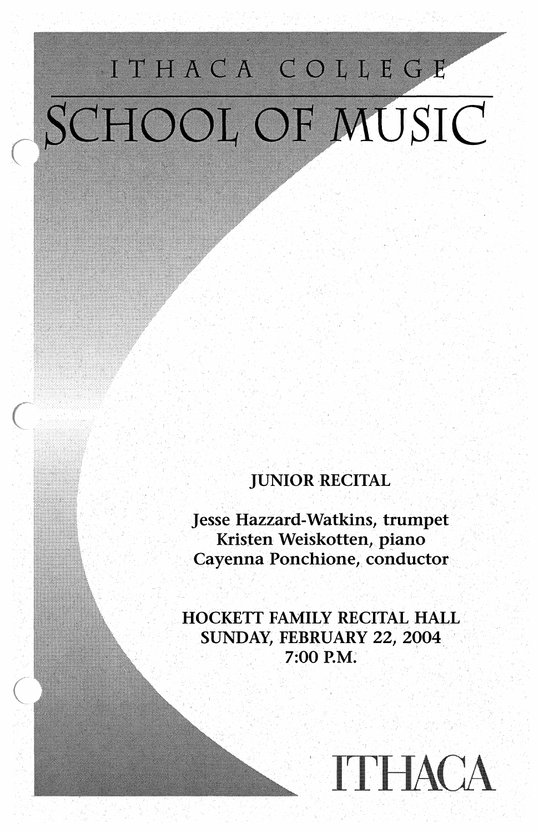# ITHACA COLLEGE SCHOOL OF MUSIC

## **JUNIOR RECITAL**

**Jesse Hazzard-Watkins, trumpet** Kristen Weiskotten, piano Cayenna Ponchione, conductor

HOCKETT FAMILY RECITAL HALL SUNDAY, FEBRUARY 22, 2004 7:00 P.M.

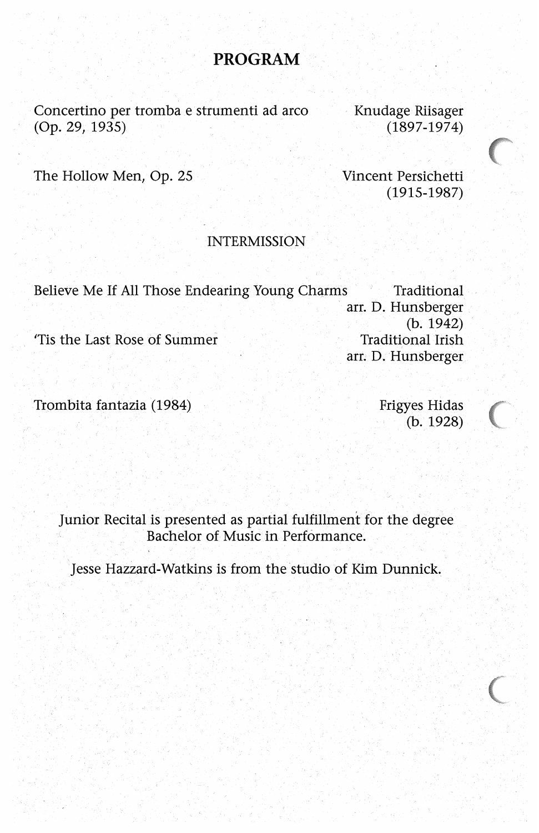#### **PROGRAM**

Concertino per tromba e strumenti ad \_arco (Op. 29, 1935)

· Knudage Riisager (1897-1974)

The Hollow Men, Op. 25

Vincent Persichetti (1915-1987)

#### INTERMISSION

Believe Me If All Those Endearing Young Charms Traditional arr. D. Hunsberger  $(b. 1942)$ Tis the Last Rose of Summer Traditional Irish arr. D. Hunsberger

Trombita fantazia (1984) Frigyes Hidas

 $(b. 1928)$ 

**C** 

Junior Recital is presented as partial fulfillment for the degree Bachelor of Music in Performance.

Jesse Hazzard-Watkins is from the studio of Kim Dunnick.